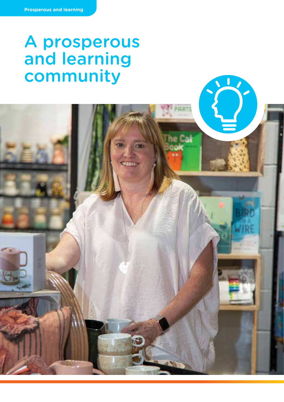# A prosperous and learning community

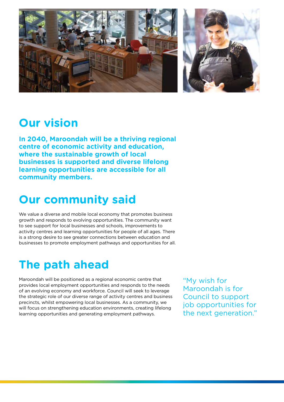

### **Our vision**

**In 2040, Maroondah will be a thriving regional centre of economic activity and education, where the sustainable growth of local businesses is supported and diverse lifelong learning opportunities are accessible for all community members.**

# **Our community said**

We value a diverse and mobile local economy that promotes business growth and responds to evolving opportunities. The community want to see support for local businesses and schools, improvements to activity centres and learning opportunities for people of all ages. There is a strong desire to see greater connections between education and businesses to promote employment pathways and opportunities for all.

# **The path ahead**

Maroondah will be positioned as a regional economic centre that provides local employment opportunities and responds to the needs of an evolving economy and workforce. Council will seek to leverage the strategic role of our diverse range of activity centres and business precincts, whilst empowering local businesses. As a community, we will focus on strengthening education environments, creating lifelong learning opportunities and generating employment pathways.

"My wish for Maroondah is for Council to support job opportunities for the next generation."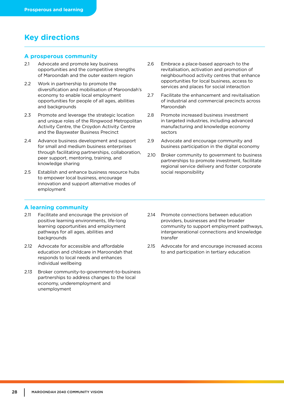### **Key directions**

#### **A prosperous community**

- 2.1 Advocate and promote key business opportunities and the competitive strengths of Maroondah and the outer eastern region
- 2.2 Work in partnership to promote the diversification and mobilisation of Maroondah's economy to enable local employment opportunities for people of all ages, abilities and backgrounds
- 2.3 Promote and leverage the strategic location and unique roles of the Ringwood Metropolitan Activity Centre, the Croydon Activity Centre and the Bayswater Business Precinct
- 2.4 Advance business development and support for small and medium business enterprises through facilitating partnerships, collaboration, peer support, mentoring, training, and knowledge sharing
- 2.5 Establish and enhance business resource hubs to empower local business, encourage innovation and support alternative modes of employment
- 2.6 Embrace a place-based approach to the revitalisation, activation and promotion of neighbourhood activity centres that enhance opportunities for local business, access to services and places for social interaction
- 2.7 Facilitate the enhancement and revitalisation of industrial and commercial precincts across Maroondah
- 2.8 Promote increased business investment in targeted industries, including advanced manufacturing and knowledge economy sectors
- 2.9 Advocate and encourage community and business participation in the digital economy
- 2.10 Broker community to government to business partnerships to promote investment, facilitate regional service delivery and foster corporate social responsibility

### **A learning community**

- 2.11 Facilitate and encourage the provision of positive learning environments, life-long learning opportunities and employment pathways for all ages, abilities and backgrounds
- 2.12 Advocate for accessible and affordable education and childcare in Maroondah that responds to local needs and enhances individual wellbeing
- 2.13 Broker community-to-government-to-business partnerships to address changes to the local economy, underemployment and unemployment
- 2.14 Promote connections between education providers, businesses and the broader community to support employment pathways, intergenerational connections and knowledge transfer
- 2.15 Advocate for and encourage increased access to and participation in tertiary education